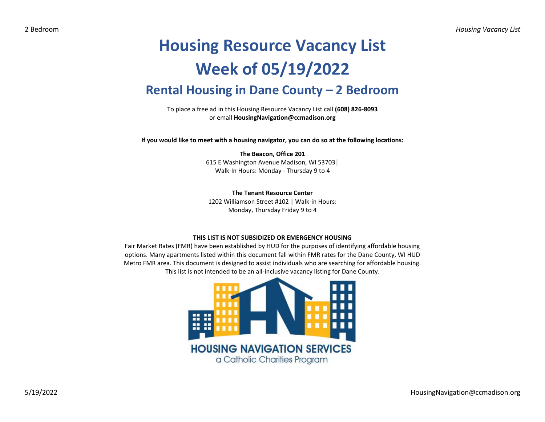## **Housing Resource Vacancy List Week of 05/19/2022 Rental Housing in Dane County – 2 Bedroom**

To place a free ad in this Housing Resource Vacancy List call **(608) 826-8093** or email **HousingNavigation@ccmadison.org**

**If you would like to meet with a housing navigator, you can do so at the following locations:**

## **The Beacon, Office 201** 615 E Washington Avenue Madison, WI 53703│ Walk-In Hours: Monday - Thursday 9 to 4

**The Tenant Resource Center**

1202 Williamson Street #102 | Walk-in Hours: Monday, Thursday Friday 9 to 4

## **THIS LIST IS NOT SUBSIDIZED OR EMERGENCY HOUSING**

Fair Market Rates (FMR) have been established by HUD for the purposes of identifying affordable housing options. Many apartments listed within this document fall within FMR rates for the Dane County, WI HUD Metro FMR area. This document is designed to assist individuals who are searching for affordable housing. This list is not intended to be an all-inclusive vacancy listing for Dane County.

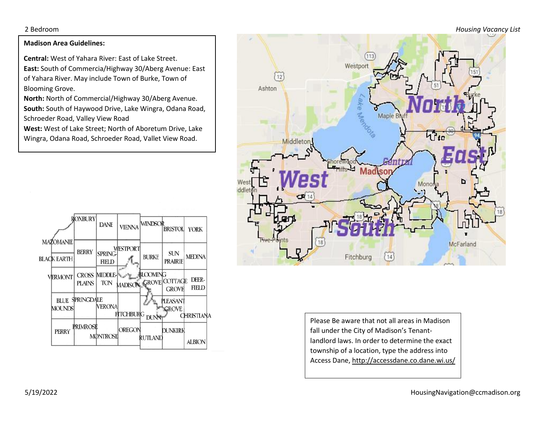2 Bedroom *Housing Vacancy List*

## **Madison Area Guidelines:**

**Central:** West of Yahara River: East of Lake Street. **East:** South of Commercia/Highway 30/Aberg Avenue: East of Yahara River. May include Town of Burke, Town of Blooming Grove.

**North:** North of Commercial/Highway 30/Aberg Avenue. **South:** South of Haywood Drive, Lake Wingra, Odana Road, Schroeder Road, Valley View Road

**West:** West of Lake Street; North of Aboretum Drive, Lake Wingra, Odana Road, Schroeder Road, Vallet View Road.





Please Be aware that not all areas in Madison fall under the City of Madison's Tenantlandlord laws. In order to determine the exact township of a location, type the address into Access Dane, http://accessdane.co.dane.wi.us/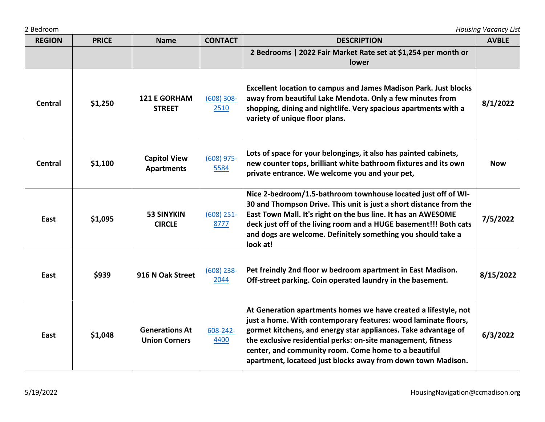|  |  | 2 Bedroom |
|--|--|-----------|
|--|--|-----------|

| <b>REGION</b>  | <b>PRICE</b> | <b>Name</b>                                   | <b>CONTACT</b>        | <b>DESCRIPTION</b>                                                                                                                                                                                                                                                                                                                                                                          | <b>AVBLE</b> |
|----------------|--------------|-----------------------------------------------|-----------------------|---------------------------------------------------------------------------------------------------------------------------------------------------------------------------------------------------------------------------------------------------------------------------------------------------------------------------------------------------------------------------------------------|--------------|
|                |              |                                               |                       | 2 Bedrooms   2022 Fair Market Rate set at \$1,254 per month or<br>lower                                                                                                                                                                                                                                                                                                                     |              |
| <b>Central</b> | \$1,250      | <b>121 E GORHAM</b><br><b>STREET</b>          | $(608) 308 -$<br>2510 | <b>Excellent location to campus and James Madison Park. Just blocks</b><br>away from beautiful Lake Mendota. Only a few minutes from<br>shopping, dining and nightlife. Very spacious apartments with a<br>variety of unique floor plans.                                                                                                                                                   | 8/1/2022     |
| <b>Central</b> | \$1,100      | <b>Capitol View</b><br><b>Apartments</b>      | $(608)$ 975-<br>5584  | Lots of space for your belongings, it also has painted cabinets,<br>new counter tops, brilliant white bathroom fixtures and its own<br>private entrance. We welcome you and your pet,                                                                                                                                                                                                       | <b>Now</b>   |
| East           | \$1,095      | <b>53 SINYKIN</b><br><b>CIRCLE</b>            | $(608)$ 251-<br>8777  | Nice 2-bedroom/1.5-bathroom townhouse located just off of WI-<br>30 and Thompson Drive. This unit is just a short distance from the<br>East Town Mall. It's right on the bus line. It has an AWESOME<br>deck just off of the living room and a HUGE basement!!! Both cats<br>and dogs are welcome. Definitely something you should take a<br>look at!                                       | 7/5/2022     |
| East           | \$939        | 916 N Oak Street                              | $(608)$ 238-<br>2044  | Pet freindly 2nd floor w bedroom apartment in East Madison.<br>Off-street parking. Coin operated laundry in the basement.                                                                                                                                                                                                                                                                   | 8/15/2022    |
| East           | \$1,048      | <b>Generations At</b><br><b>Union Corners</b> | 608-242-<br>4400      | At Generation apartments homes we have created a lifestyle, not<br>just a home. With contemporary features: wood laminate floors,<br>gormet kitchens, and energy star appliances. Take advantage of<br>the exclusive residential perks: on-site management, fitness<br>center, and community room. Come home to a beautiful<br>apartment, locateed just blocks away from down town Madison. | 6/3/2022     |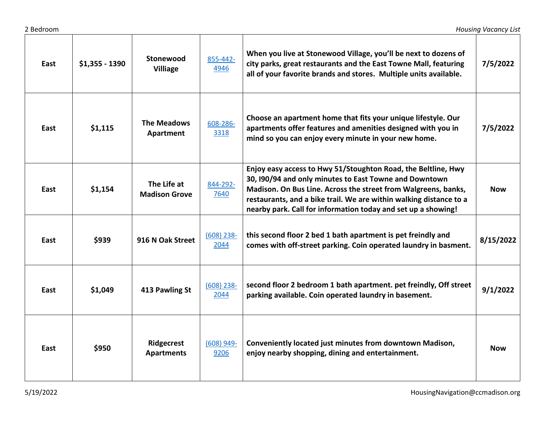| East | $$1,355 - 1390$ | Stonewood<br><b>Villiage</b>        | 855-442-<br>4946     | When you live at Stonewood Village, you'll be next to dozens of<br>city parks, great restaurants and the East Towne Mall, featuring<br>all of your favorite brands and stores. Multiple units available.                                                                                                                         | 7/5/2022   |
|------|-----------------|-------------------------------------|----------------------|----------------------------------------------------------------------------------------------------------------------------------------------------------------------------------------------------------------------------------------------------------------------------------------------------------------------------------|------------|
| East | \$1,115         | <b>The Meadows</b><br>Apartment     | 608-286-<br>3318     | Choose an apartment home that fits your unique lifestyle. Our<br>apartments offer features and amenities designed with you in<br>mind so you can enjoy every minute in your new home.                                                                                                                                            | 7/5/2022   |
| East | \$1,154         | The Life at<br><b>Madison Grove</b> | 844-292-<br>7640     | Enjoy easy access to Hwy 51/Stoughton Road, the Beltline, Hwy<br>30, I90/94 and only minutes to East Towne and Downtown<br>Madison. On Bus Line. Across the street from Walgreens, banks,<br>restaurants, and a bike trail. We are within walking distance to a<br>nearby park. Call for information today and set up a showing! | <b>Now</b> |
| East | \$939           | 916 N Oak Street                    | $(608)$ 238-<br>2044 | this second floor 2 bed 1 bath apartment is pet freindly and<br>comes with off-street parking. Coin operated laundry in basment.                                                                                                                                                                                                 | 8/15/2022  |
| East | \$1,049         | 413 Pawling St                      | $(608)$ 238-<br>2044 | second floor 2 bedroom 1 bath apartment. pet freindly, Off street<br>parking available. Coin operated laundry in basement.                                                                                                                                                                                                       | 9/1/2022   |
| East | \$950           | Ridgecrest<br><b>Apartments</b>     | $(608)$ 949-<br>9206 | Conveniently located just minutes from downtown Madison,<br>enjoy nearby shopping, dining and entertainment.                                                                                                                                                                                                                     | <b>Now</b> |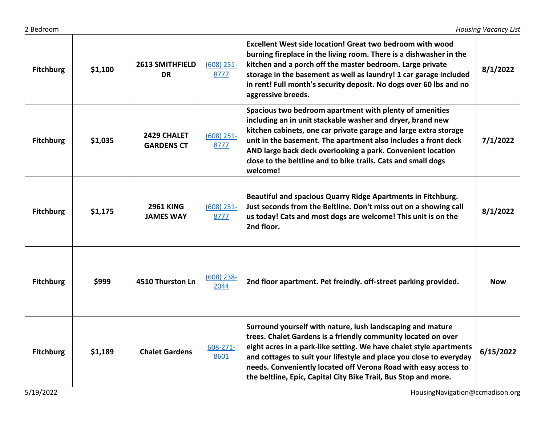| <b>Fitchburg</b> | \$1,100 | 2613 SMITHFIELD<br><b>DR</b>         | $(608)$ 251-<br>8777 | <b>Excellent West side location! Great two bedroom with wood</b><br>burning fireplace in the living room. There is a dishwasher in the<br>kitchen and a porch off the master bedroom. Large private<br>storage in the basement as well as laundry! 1 car garage included<br>in rent! Full month's security deposit. No dogs over 60 lbs and no<br>aggressive breeds.                                            | 8/1/2022   |
|------------------|---------|--------------------------------------|----------------------|-----------------------------------------------------------------------------------------------------------------------------------------------------------------------------------------------------------------------------------------------------------------------------------------------------------------------------------------------------------------------------------------------------------------|------------|
| <b>Fitchburg</b> | \$1,035 | 2429 CHALET<br><b>GARDENS CT</b>     | $(608)$ 251-<br>8777 | Spacious two bedroom apartment with plenty of amenities<br>including an in unit stackable washer and dryer, brand new<br>kitchen cabinets, one car private garage and large extra storage<br>unit in the basement. The apartment also includes a front deck<br>AND large back deck overlooking a park. Convenient location<br>close to the beltline and to bike trails. Cats and small dogs<br>welcome!         | 7/1/2022   |
| <b>Fitchburg</b> | \$1,175 | <b>2961 KING</b><br><b>JAMES WAY</b> | $(608)$ 251-<br>8777 | Beautiful and spacious Quarry Ridge Apartments in Fitchburg.<br>Just seconds from the Beltline. Don't miss out on a showing call<br>us today! Cats and most dogs are welcome! This unit is on the<br>2nd floor.                                                                                                                                                                                                 | 8/1/2022   |
| <b>Fitchburg</b> | \$999   | 4510 Thurston Ln                     | $(608)$ 238-<br>2044 | 2nd floor apartment. Pet freindly. off-street parking provided.                                                                                                                                                                                                                                                                                                                                                 | <b>Now</b> |
| <b>Fitchburg</b> | \$1,189 | <b>Chalet Gardens</b>                | 608-271-<br>8601     | Surround yourself with nature, lush landscaping and mature<br>trees. Chalet Gardens is a friendly community located on over<br>eight acres in a park-like setting. We have chalet style apartments<br>and cottages to suit your lifestyle and place you close to everyday<br>needs. Conveniently located off Verona Road with easy access to<br>the beltline, Epic, Capital City Bike Trail, Bus Stop and more. | 6/15/2022  |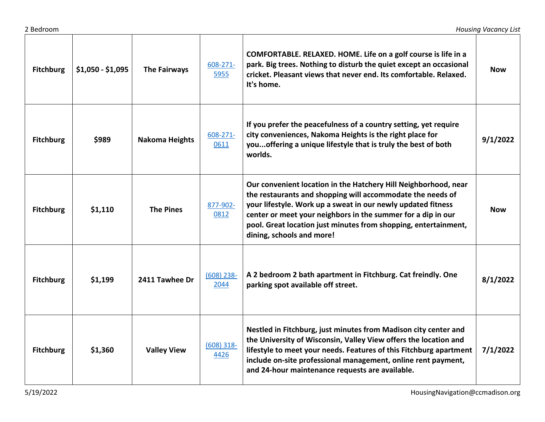| 2 Bedroom        |                   |                       |                       |                                                                                                                                                                                                                                                                                                                                                               | <b>Housing Vacancy List</b> |
|------------------|-------------------|-----------------------|-----------------------|---------------------------------------------------------------------------------------------------------------------------------------------------------------------------------------------------------------------------------------------------------------------------------------------------------------------------------------------------------------|-----------------------------|
| <b>Fitchburg</b> | $$1,050 - $1,095$ | <b>The Fairways</b>   | $608 - 271 -$<br>5955 | COMFORTABLE. RELAXED. HOME. Life on a golf course is life in a<br>park. Big trees. Nothing to disturb the quiet except an occasional<br>cricket. Pleasant views that never end. Its comfortable. Relaxed.<br>It's home.                                                                                                                                       | <b>Now</b>                  |
| <b>Fitchburg</b> | \$989             | <b>Nakoma Heights</b> | 608-271-<br>0611      | If you prefer the peacefulness of a country setting, yet require<br>city conveniences, Nakoma Heights is the right place for<br>youoffering a unique lifestyle that is truly the best of both<br>worlds.                                                                                                                                                      | 9/1/2022                    |
| <b>Fitchburg</b> | \$1,110           | <b>The Pines</b>      | 877-902-<br>0812      | Our convenient location in the Hatchery Hill Neighborhood, near<br>the restaurants and shopping will accommodate the needs of<br>your lifestyle. Work up a sweat in our newly updated fitness<br>center or meet your neighbors in the summer for a dip in our<br>pool. Great location just minutes from shopping, entertainment,<br>dining, schools and more! | <b>Now</b>                  |
| <b>Fitchburg</b> | \$1,199           | 2411 Tawhee Dr        | $(608)$ 238-<br>2044  | A 2 bedroom 2 bath apartment in Fitchburg. Cat freindly. One<br>parking spot available off street.                                                                                                                                                                                                                                                            | 8/1/2022                    |
| <b>Fitchburg</b> | \$1,360           | <b>Valley View</b>    | $(608)$ 318-<br>4426  | Nestled in Fitchburg, just minutes from Madison city center and<br>the University of Wisconsin, Valley View offers the location and<br>lifestyle to meet your needs. Features of this Fitchburg apartment<br>include on-site professional management, online rent payment,<br>and 24-hour maintenance requests are available.                                 | 7/1/2022                    |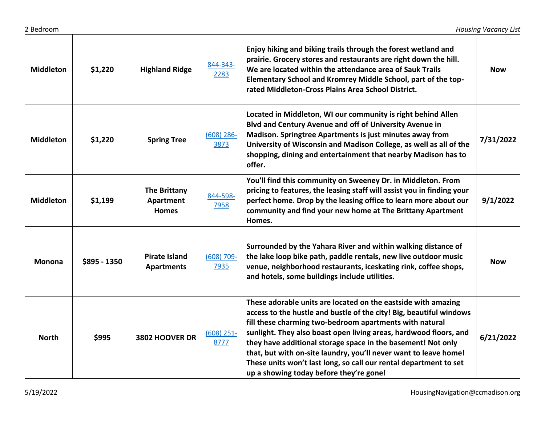| <b>Middleton</b> | \$1,220       | <b>Highland Ridge</b>                     | 844-343-<br>2283      | Enjoy hiking and biking trails through the forest wetland and<br>prairie. Grocery stores and restaurants are right down the hill.<br>We are located within the attendance area of Sauk Trails<br>Elementary School and Kromrey Middle School, part of the top-<br>rated Middleton-Cross Plains Area School District.                                                                                                                                                                                                     | <b>Now</b> |
|------------------|---------------|-------------------------------------------|-----------------------|--------------------------------------------------------------------------------------------------------------------------------------------------------------------------------------------------------------------------------------------------------------------------------------------------------------------------------------------------------------------------------------------------------------------------------------------------------------------------------------------------------------------------|------------|
| <b>Middleton</b> | \$1,220       | <b>Spring Tree</b>                        | $(608)$ 286-<br>3873  | Located in Middleton, WI our community is right behind Allen<br>Blvd and Century Avenue and off of University Avenue in<br>Madison. Springtree Apartments is just minutes away from<br>University of Wisconsin and Madison College, as well as all of the<br>shopping, dining and entertainment that nearby Madison has to<br>offer.                                                                                                                                                                                     | 7/31/2022  |
| <b>Middleton</b> | \$1,199       | The Brittany<br>Apartment<br><b>Homes</b> | 844-598-<br>7958      | You'll find this community on Sweeney Dr. in Middleton. From<br>pricing to features, the leasing staff will assist you in finding your<br>perfect home. Drop by the leasing office to learn more about our<br>community and find your new home at The Brittany Apartment<br>Homes.                                                                                                                                                                                                                                       | 9/1/2022   |
| <b>Monona</b>    | $$895 - 1350$ | <b>Pirate Island</b><br><b>Apartments</b> | $(608) 709 -$<br>7935 | Surrounded by the Yahara River and within walking distance of<br>the lake loop bike path, paddle rentals, new live outdoor music<br>venue, neighborhood restaurants, iceskating rink, coffee shops,<br>and hotels, some buildings include utilities.                                                                                                                                                                                                                                                                     | <b>Now</b> |
| <b>North</b>     | \$995         | 3802 HOOVER DR                            | $(608)$ 251-<br>8777  | These adorable units are located on the eastside with amazing<br>access to the hustle and bustle of the city! Big, beautiful windows<br>fill these charming two-bedroom apartments with natural<br>sunlight. They also boast open living areas, hardwood floors, and<br>they have additional storage space in the basement! Not only<br>that, but with on-site laundry, you'll never want to leave home!<br>These units won't last long, so call our rental department to set<br>up a showing today before they're gone! | 6/21/2022  |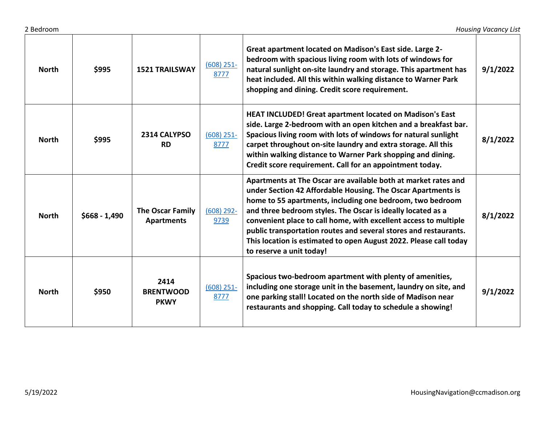| <b>North</b> | \$995          | <b>1521 TRAILSWAY</b>                        | $(608)$ 251-<br>8777 | Great apartment located on Madison's East side. Large 2-<br>bedroom with spacious living room with lots of windows for<br>natural sunlight on-site laundry and storage. This apartment has<br>heat included. All this within walking distance to Warner Park<br>shopping and dining. Credit score requirement.                                                                                                                                                                                      | 9/1/2022 |
|--------------|----------------|----------------------------------------------|----------------------|-----------------------------------------------------------------------------------------------------------------------------------------------------------------------------------------------------------------------------------------------------------------------------------------------------------------------------------------------------------------------------------------------------------------------------------------------------------------------------------------------------|----------|
| <b>North</b> | \$995          | 2314 CALYPSO<br><b>RD</b>                    | $(608)$ 251-<br>8777 | HEAT INCLUDED! Great apartment located on Madison's East<br>side. Large 2-bedroom with an open kitchen and a breakfast bar.<br>Spacious living room with lots of windows for natural sunlight<br>carpet throughout on-site laundry and extra storage. All this<br>within walking distance to Warner Park shopping and dining.<br>Credit score requirement. Call for an appointment today.                                                                                                           | 8/1/2022 |
| <b>North</b> | $$668 - 1,490$ | <b>The Oscar Family</b><br><b>Apartments</b> | $(608)$ 292-<br>9739 | Apartments at The Oscar are available both at market rates and<br>under Section 42 Affordable Housing. The Oscar Apartments is<br>home to 55 apartments, including one bedroom, two bedroom<br>and three bedroom styles. The Oscar is ideally located as a<br>convenient place to call home, with excellent access to multiple<br>public transportation routes and several stores and restaurants.<br>This location is estimated to open August 2022. Please call today<br>to reserve a unit today! | 8/1/2022 |
| <b>North</b> | \$950          | 2414<br><b>BRENTWOOD</b><br><b>PKWY</b>      | $(608)$ 251-<br>8777 | Spacious two-bedroom apartment with plenty of amenities,<br>including one storage unit in the basement, laundry on site, and<br>one parking stall! Located on the north side of Madison near<br>restaurants and shopping. Call today to schedule a showing!                                                                                                                                                                                                                                         | 9/1/2022 |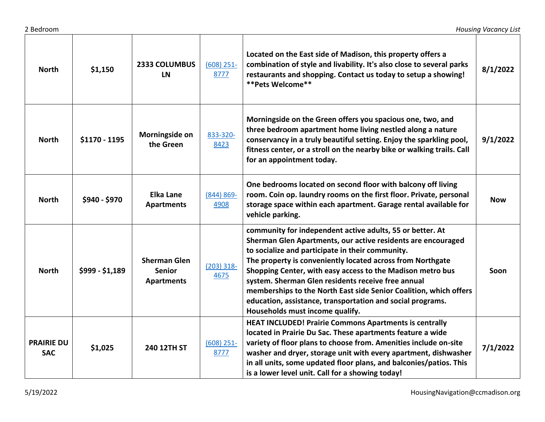| <b>North</b>                    | \$1,150         | <b>2333 COLUMBUS</b><br><b>LN</b>                         | $(608)$ 251-<br>8777  | Located on the East side of Madison, this property offers a<br>combination of style and livability. It's also close to several parks<br>restaurants and shopping. Contact us today to setup a showing!<br>** Pets Welcome**                                                                                                                                                                                                                                                                                                           | 8/1/2022   |
|---------------------------------|-----------------|-----------------------------------------------------------|-----------------------|---------------------------------------------------------------------------------------------------------------------------------------------------------------------------------------------------------------------------------------------------------------------------------------------------------------------------------------------------------------------------------------------------------------------------------------------------------------------------------------------------------------------------------------|------------|
| <b>North</b>                    | \$1170 - 1195   | Morningside on<br>the Green                               | 833-320-<br>8423      | Morningside on the Green offers you spacious one, two, and<br>three bedroom apartment home living nestled along a nature<br>conservancy in a truly beautiful setting. Enjoy the sparkling pool,<br>fitness center, or a stroll on the nearby bike or walking trails. Call<br>for an appointment today.                                                                                                                                                                                                                                | 9/1/2022   |
| <b>North</b>                    | \$940 - \$970   | <b>Elka Lane</b><br><b>Apartments</b>                     | $(844) 869 -$<br>4908 | One bedrooms located on second floor with balcony off living<br>room. Coin op. laundry rooms on the first floor. Private, personal<br>storage space within each apartment. Garage rental available for<br>vehicle parking.                                                                                                                                                                                                                                                                                                            | <b>Now</b> |
| <b>North</b>                    | $$999 - $1,189$ | <b>Sherman Glen</b><br><b>Senior</b><br><b>Apartments</b> | $(203)$ 318-<br>4675  | community for independent active adults, 55 or better. At<br>Sherman Glen Apartments, our active residents are encouraged<br>to socialize and participate in their community.<br>The property is conveniently located across from Northgate<br>Shopping Center, with easy access to the Madison metro bus<br>system. Sherman Glen residents receive free annual<br>memberships to the North East side Senior Coalition, which offers<br>education, assistance, transportation and social programs.<br>Households must income qualify. | Soon       |
| <b>PRAIRIE DU</b><br><b>SAC</b> | \$1,025         | 240 12TH ST                                               | $(608)$ 251-<br>8777  | <b>HEAT INCLUDED! Prairie Commons Apartments is centrally</b><br>located in Prairie Du Sac. These apartments feature a wide<br>variety of floor plans to choose from. Amenities include on-site<br>washer and dryer, storage unit with every apartment, dishwasher<br>in all units, some updated floor plans, and balconies/patios. This<br>is a lower level unit. Call for a showing today!                                                                                                                                          | 7/1/2022   |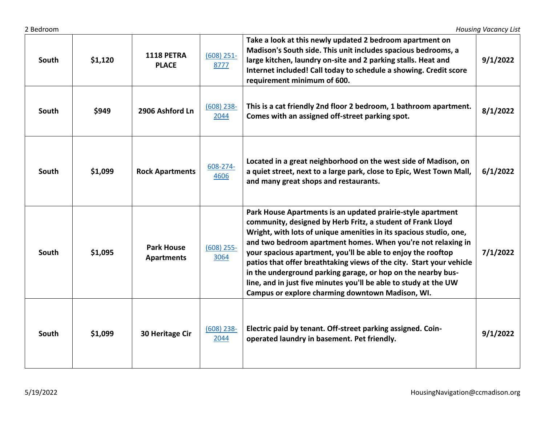| 2 Bedroom |         |                                        |                      |                                                                                                                                                                                                                                                                                                                                                                                                                                                                                                                                                                                                  | <b>Housing Vacancy List</b> |
|-----------|---------|----------------------------------------|----------------------|--------------------------------------------------------------------------------------------------------------------------------------------------------------------------------------------------------------------------------------------------------------------------------------------------------------------------------------------------------------------------------------------------------------------------------------------------------------------------------------------------------------------------------------------------------------------------------------------------|-----------------------------|
| South     | \$1,120 | <b>1118 PETRA</b><br><b>PLACE</b>      | $(608)$ 251-<br>8777 | Take a look at this newly updated 2 bedroom apartment on<br>Madison's South side. This unit includes spacious bedrooms, a<br>large kitchen, laundry on-site and 2 parking stalls. Heat and<br>Internet included! Call today to schedule a showing. Credit score<br>requirement minimum of 600.                                                                                                                                                                                                                                                                                                   | 9/1/2022                    |
| South     | \$949   | 2906 Ashford Ln                        | $(608)$ 238-<br>2044 | This is a cat friendly 2nd floor 2 bedroom, 1 bathroom apartment.<br>Comes with an assigned off-street parking spot.                                                                                                                                                                                                                                                                                                                                                                                                                                                                             | 8/1/2022                    |
| South     | \$1,099 | <b>Rock Apartments</b>                 | 608-274-<br>4606     | Located in a great neighborhood on the west side of Madison, on<br>a quiet street, next to a large park, close to Epic, West Town Mall,<br>and many great shops and restaurants.                                                                                                                                                                                                                                                                                                                                                                                                                 | 6/1/2022                    |
| South     | \$1,095 | <b>Park House</b><br><b>Apartments</b> | $(608)$ 255-<br>3064 | Park House Apartments is an updated prairie-style apartment<br>community, designed by Herb Fritz, a student of Frank Lloyd<br>Wright, with lots of unique amenities in its spacious studio, one,<br>and two bedroom apartment homes. When you're not relaxing in<br>your spacious apartment, you'll be able to enjoy the rooftop<br>patios that offer breathtaking views of the city. Start your vehicle<br>in the underground parking garage, or hop on the nearby bus-<br>line, and in just five minutes you'll be able to study at the UW<br>Campus or explore charming downtown Madison, WI. | 7/1/2022                    |
| South     | \$1,099 | 30 Heritage Cir                        | $(608)$ 238-<br>2044 | Electric paid by tenant. Off-street parking assigned. Coin-<br>operated laundry in basement. Pet friendly.                                                                                                                                                                                                                                                                                                                                                                                                                                                                                       | 9/1/2022                    |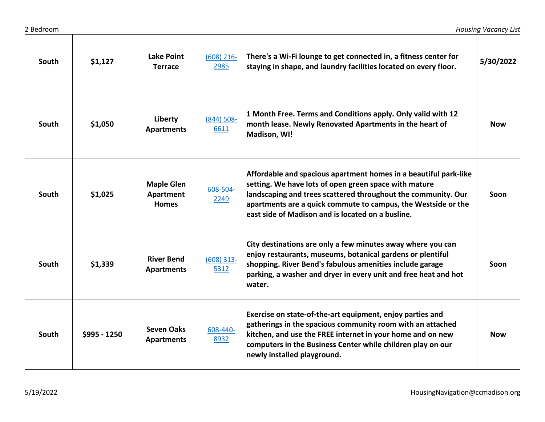| 2 Bedroom |               |                                                |                       |                                                                                                                                                                                                                                                                                                                  | <b>Housing Vacancy List</b> |
|-----------|---------------|------------------------------------------------|-----------------------|------------------------------------------------------------------------------------------------------------------------------------------------------------------------------------------------------------------------------------------------------------------------------------------------------------------|-----------------------------|
| South     | \$1,127       | Lake Point<br><b>Terrace</b>                   | $(608)$ 216-<br>2985  | There's a Wi-Fi lounge to get connected in, a fitness center for<br>staying in shape, and laundry facilities located on every floor.                                                                                                                                                                             | 5/30/2022                   |
| South     | \$1,050       | Liberty<br><b>Apartments</b>                   | $(844) 508 -$<br>6611 | 1 Month Free. Terms and Conditions apply. Only valid with 12<br>month lease. Newly Renovated Apartments in the heart of<br>Madison, WI!                                                                                                                                                                          | <b>Now</b>                  |
| South     | \$1,025       | <b>Maple Glen</b><br>Apartment<br><b>Homes</b> | 608-504-<br>2249      | Affordable and spacious apartment homes in a beautiful park-like<br>setting. We have lots of open green space with mature<br>landscaping and trees scattered throughout the community. Our<br>apartments are a quick commute to campus, the Westside or the<br>east side of Madison and is located on a busline. | Soon                        |
| South     | \$1,339       | <b>River Bend</b><br><b>Apartments</b>         | $(608)$ 313-<br>5312  | City destinations are only a few minutes away where you can<br>enjoy restaurants, museums, botanical gardens or plentiful<br>shopping. River Bend's fabulous amenities include garage<br>parking, a washer and dryer in every unit and free heat and hot<br>water.                                               | Soon                        |
| South     | $$995 - 1250$ | <b>Seven Oaks</b><br><b>Apartments</b>         | 608-440-<br>8932      | Exercise on state-of-the-art equipment, enjoy parties and<br>gatherings in the spacious community room with an attached<br>kitchen, and use the FREE internet in your home and on new<br>computers in the Business Center while children play on our<br>newly installed playground.                              | <b>Now</b>                  |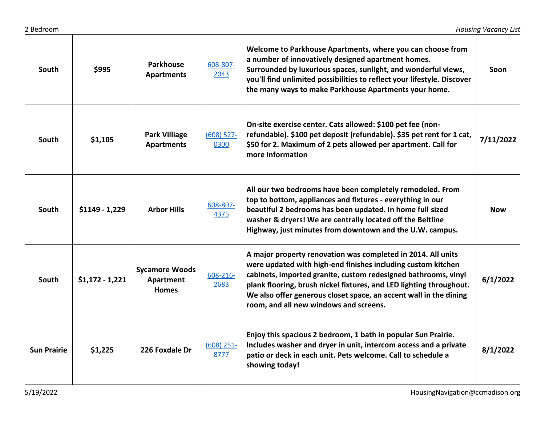| South              | \$995            | <b>Parkhouse</b><br><b>Apartments</b>              | 608-807-<br>2043     | Welcome to Parkhouse Apartments, where you can choose from<br>a number of innovatively designed apartment homes.<br>Surrounded by luxurious spaces, sunlight, and wonderful views,<br>you'll find unlimited possibilities to reflect your lifestyle. Discover<br>the many ways to make Parkhouse Apartments your home.                                                               | Soon      |
|--------------------|------------------|----------------------------------------------------|----------------------|--------------------------------------------------------------------------------------------------------------------------------------------------------------------------------------------------------------------------------------------------------------------------------------------------------------------------------------------------------------------------------------|-----------|
| South              | \$1,105          | <b>Park Villiage</b><br><b>Apartments</b>          | $(608)$ 527-<br>0300 | On-site exercise center. Cats allowed: \$100 pet fee (non-<br>refundable). \$100 pet deposit (refundable). \$35 pet rent for 1 cat,<br>\$50 for 2. Maximum of 2 pets allowed per apartment. Call for<br>more information                                                                                                                                                             | 7/11/2022 |
| South              | $$1149 - 1,229$  | <b>Arbor Hills</b>                                 | 608-807-<br>4375     | All our two bedrooms have been completely remodeled. From<br>top to bottom, appliances and fixtures - everything in our<br>beautiful 2 bedrooms has been updated. In home full sized<br>washer & dryers! We are centrally located off the Beltline<br>Highway, just minutes from downtown and the U.W. campus.                                                                       | Now       |
| South              | $$1,172 - 1,221$ | <b>Sycamore Woods</b><br>Apartment<br><b>Homes</b> | 608-216-<br>2683     | A major property renovation was completed in 2014. All units<br>were updated with high-end finishes including custom kitchen<br>cabinets, imported granite, custom redesigned bathrooms, vinyl<br>plank flooring, brush nickel fixtures, and LED lighting throughout.<br>We also offer generous closet space, an accent wall in the dining<br>room, and all new windows and screens. | 6/1/2022  |
| <b>Sun Prairie</b> | \$1,225          | 226 Foxdale Dr                                     | $(608)$ 251-<br>8777 | Enjoy this spacious 2 bedroom, 1 bath in popular Sun Prairie.<br>Includes washer and dryer in unit, intercom access and a private<br>patio or deck in each unit. Pets welcome. Call to schedule a<br>showing today!                                                                                                                                                                  | 8/1/2022  |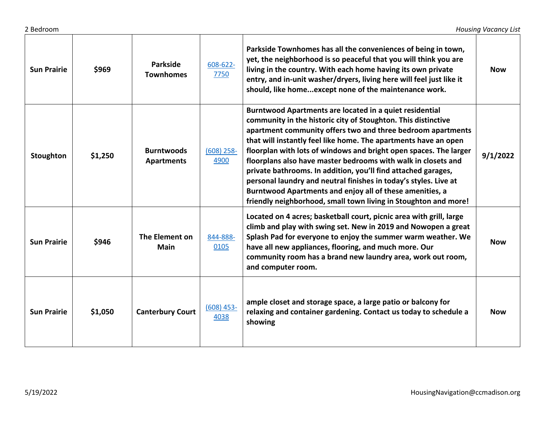| <b>Sun Prairie</b> | \$969   | Parkside<br><b>Townhomes</b>           | 608-622-<br>7750     | Parkside Townhomes has all the conveniences of being in town,<br>yet, the neighborhood is so peaceful that you will think you are<br>living in the country. With each home having its own private<br>entry, and in-unit washer/dryers, living here will feel just like it<br>should, like homeexcept none of the maintenance work.                                                                                                                                                                                                                                                                                                                                   | <b>Now</b> |
|--------------------|---------|----------------------------------------|----------------------|----------------------------------------------------------------------------------------------------------------------------------------------------------------------------------------------------------------------------------------------------------------------------------------------------------------------------------------------------------------------------------------------------------------------------------------------------------------------------------------------------------------------------------------------------------------------------------------------------------------------------------------------------------------------|------------|
| Stoughton          | \$1,250 | <b>Burntwoods</b><br><b>Apartments</b> | $(608)$ 258-<br>4900 | Burntwood Apartments are located in a quiet residential<br>community in the historic city of Stoughton. This distinctive<br>apartment community offers two and three bedroom apartments<br>that will instantly feel like home. The apartments have an open<br>floorplan with lots of windows and bright open spaces. The larger<br>floorplans also have master bedrooms with walk in closets and<br>private bathrooms. In addition, you'll find attached garages,<br>personal laundry and neutral finishes in today's styles. Live at<br>Burntwood Apartments and enjoy all of these amenities, a<br>friendly neighborhood, small town living in Stoughton and more! | 9/1/2022   |
| <b>Sun Prairie</b> | \$946   | The Element on<br>Main                 | 844-888-<br>0105     | Located on 4 acres; basketball court, picnic area with grill, large<br>climb and play with swing set. New in 2019 and Nowopen a great<br>Splash Pad for everyone to enjoy the summer warm weather. We<br>have all new appliances, flooring, and much more. Our<br>community room has a brand new laundry area, work out room,<br>and computer room.                                                                                                                                                                                                                                                                                                                  | <b>Now</b> |
| <b>Sun Prairie</b> | \$1,050 | <b>Canterbury Court</b>                | $(608)$ 453-<br>4038 | ample closet and storage space, a large patio or balcony for<br>relaxing and container gardening. Contact us today to schedule a<br>showing                                                                                                                                                                                                                                                                                                                                                                                                                                                                                                                          | <b>Now</b> |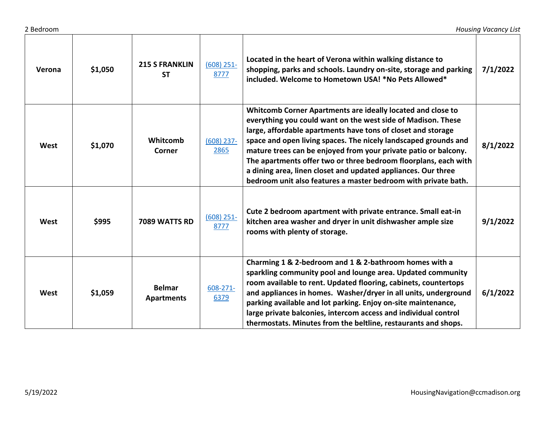2 Bedroom *Housing Vacancy List*

| Verona | \$1,050 | <b>215 S FRANKLIN</b><br><b>ST</b> | $(608)$ 251-<br>8777 | Located in the heart of Verona within walking distance to<br>shopping, parks and schools. Laundry on-site, storage and parking<br>included. Welcome to Hometown USA! *No Pets Allowed*                                                                                                                                                                                                                                                                                                                                                  | 7/1/2022 |
|--------|---------|------------------------------------|----------------------|-----------------------------------------------------------------------------------------------------------------------------------------------------------------------------------------------------------------------------------------------------------------------------------------------------------------------------------------------------------------------------------------------------------------------------------------------------------------------------------------------------------------------------------------|----------|
| West   | \$1,070 | Whitcomb<br>Corner                 | $(608)$ 237-<br>2865 | Whitcomb Corner Apartments are ideally located and close to<br>everything you could want on the west side of Madison. These<br>large, affordable apartments have tons of closet and storage<br>space and open living spaces. The nicely landscaped grounds and<br>mature trees can be enjoyed from your private patio or balcony.<br>The apartments offer two or three bedroom floorplans, each with<br>a dining area, linen closet and updated appliances. Our three<br>bedroom unit also features a master bedroom with private bath. | 8/1/2022 |
| West   | \$995   | 7089 WATTS RD                      | $(608)$ 251-<br>8777 | Cute 2 bedroom apartment with private entrance. Small eat-in<br>kitchen area washer and dryer in unit dishwasher ample size<br>rooms with plenty of storage.                                                                                                                                                                                                                                                                                                                                                                            | 9/1/2022 |
| West   | \$1,059 | <b>Belmar</b><br><b>Apartments</b> | 608-271-<br>6379     | Charming 1 & 2-bedroom and 1 & 2-bathroom homes with a<br>sparkling community pool and lounge area. Updated community<br>room available to rent. Updated flooring, cabinets, countertops<br>and appliances in homes. Washer/dryer in all units, underground<br>parking available and lot parking. Enjoy on-site maintenance,<br>large private balconies, intercom access and individual control<br>thermostats. Minutes from the beltline, restaurants and shops.                                                                       | 6/1/2022 |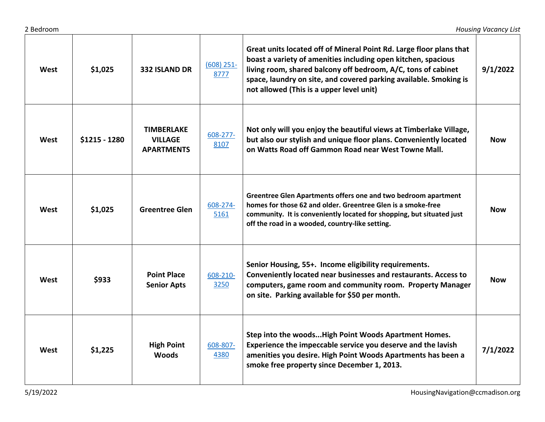| West | \$1,025       | <b>332 ISLAND DR</b>                                     | $(608)$ 251-<br>8777 | Great units located off of Mineral Point Rd. Large floor plans that<br>boast a variety of amenities including open kitchen, spacious<br>living room, shared balcony off bedroom, A/C, tons of cabinet<br>space, laundry on site, and covered parking available. Smoking is<br>not allowed (This is a upper level unit) | 9/1/2022   |
|------|---------------|----------------------------------------------------------|----------------------|------------------------------------------------------------------------------------------------------------------------------------------------------------------------------------------------------------------------------------------------------------------------------------------------------------------------|------------|
| West | \$1215 - 1280 | <b>TIMBERLAKE</b><br><b>VILLAGE</b><br><b>APARTMENTS</b> | 608-277-<br>8107     | Not only will you enjoy the beautiful views at Timberlake Village,<br>but also our stylish and unique floor plans. Conveniently located<br>on Watts Road off Gammon Road near West Towne Mall.                                                                                                                         | <b>Now</b> |
| West | \$1,025       | <b>Greentree Glen</b>                                    | 608-274-<br>5161     | Greentree Glen Apartments offers one and two bedroom apartment<br>homes for those 62 and older. Greentree Glen is a smoke-free<br>community. It is conveniently located for shopping, but situated just<br>off the road in a wooded, country-like setting.                                                             | <b>Now</b> |
| West | \$933         | <b>Point Place</b><br><b>Senior Apts</b>                 | 608-210-<br>3250     | Senior Housing, 55+. Income eligibility requirements.<br>Conveniently located near businesses and restaurants. Access to<br>computers, game room and community room. Property Manager<br>on site. Parking available for \$50 per month.                                                                                | <b>Now</b> |
| West | \$1,225       | <b>High Point</b><br><b>Woods</b>                        | 608-807-<br>4380     | Step into the woods High Point Woods Apartment Homes.<br>Experience the impeccable service you deserve and the lavish<br>amenities you desire. High Point Woods Apartments has been a<br>smoke free property since December 1, 2013.                                                                                   | 7/1/2022   |